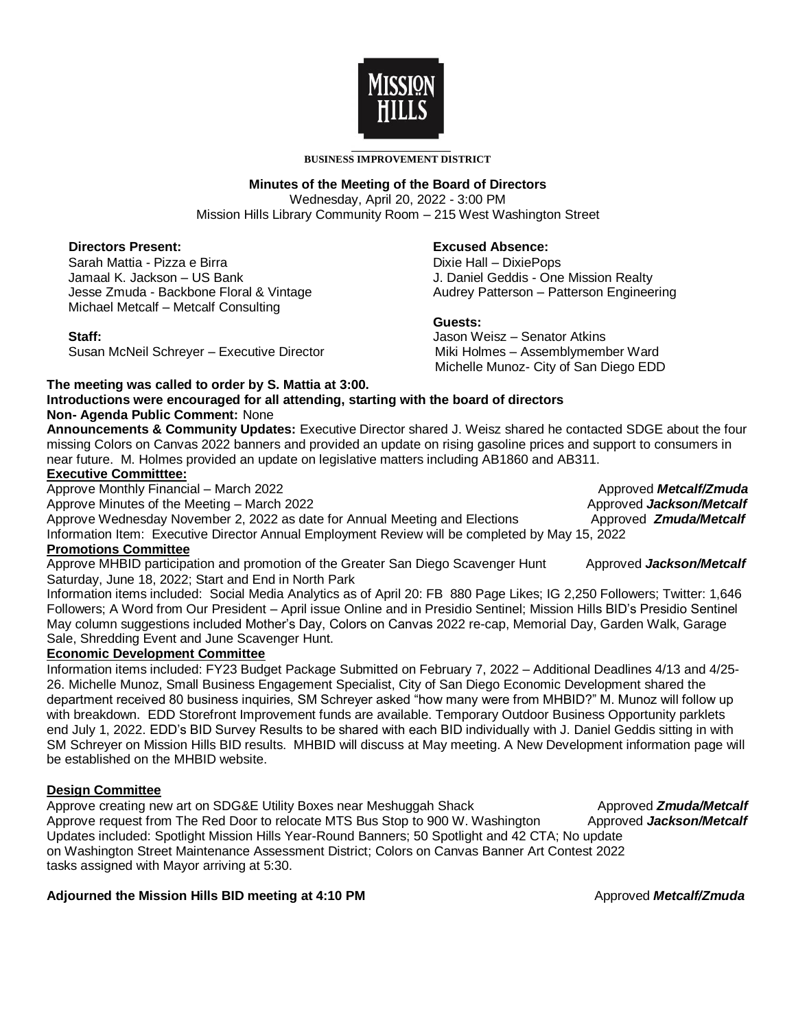

#### **BUSINESS IMPROVEMENT DISTRICT**

### **Minutes of the Meeting of the Board of Directors**

Wednesday, April 20, 2022 - 3:00 PM Mission Hills Library Community Room – 215 West Washington Street

### **Directors Present:**

Sarah Mattia - Pizza e Birra Jamaal K. Jackson – US Bank Jesse Zmuda - Backbone Floral & Vintage Michael Metcalf – Metcalf Consulting

#### **Staff:**

Susan McNeil Schreyer – Executive Director

#### **Excused Absence:**

 Dixie Hall – DixiePops J. Daniel Geddis - One Mission Realty Audrey Patterson – Patterson Engineering

### **Guests:**

Jason Weisz – Senator Atkins Miki Holmes – Assemblymember Ward Michelle Munoz- City of San Diego EDD

### **The meeting was called to order by S. Mattia at 3:00.**

#### **Introductions were encouraged for all attending, starting with the board of directors Non- Agenda Public Comment:** None

**Announcements & Community Updates:** Executive Director shared J. Weisz shared he contacted SDGE about the four missing Colors on Canvas 2022 banners and provided an update on rising gasoline prices and support to consumers in near future. M. Holmes provided an update on legislative matters including AB1860 and AB311.

### **Executive Committtee:**

Approve Monthly Financial – March 2022 **Approved** *Metcalf/Zmuda* Approved *Metcalf/Zmuda* Approve Minutes of the Meeting – March 2022 **Approved** *Jackson/Metcalf* **Approved** *Jackson/Metcalf* Approve Wednesday November 2, 2022 as date for Annual Meeting and Elections Approved **Zmuda/Metcalf** Information Item: Executive Director Annual Employment Review will be completed by May 15, 2022 **Promotions Committee**

Approve MHBID participation and promotion of the Greater San Diego Scavenger Hunt Approved Jackson/Metcalf Saturday, June 18, 2022; Start and End in North Park

Information items included: Social Media Analytics as of April 20: FB 880 Page Likes; IG 2,250 Followers; Twitter: 1,646 Followers; A Word from Our President – April issue Online and in Presidio Sentinel; Mission Hills BID's Presidio Sentinel May column suggestions included Mother's Day, Colors on Canvas 2022 re-cap, Memorial Day, Garden Walk, Garage Sale, Shredding Event and June Scavenger Hunt.

## **Economic Development Committee**

Information items included: FY23 Budget Package Submitted on February 7, 2022 – Additional Deadlines 4/13 and 4/25- 26. Michelle Munoz, Small Business Engagement Specialist, City of San Diego Economic Development shared the department received 80 business inquiries, SM Schreyer asked "how many were from MHBID?" M. Munoz will follow up with breakdown. EDD Storefront Improvement funds are available. Temporary Outdoor Business Opportunity parklets end July 1, 2022. EDD's BID Survey Results to be shared with each BID individually with J. Daniel Geddis sitting in with SM Schreyer on Mission Hills BID results. MHBID will discuss at May meeting. A New Development information page will be established on the MHBID website.

## **Design Committee**

Approve creating new art on SDG&E Utility Boxes near Meshuggah Shack Approved **Zmuda/Metcalf** Approved **Zmuda/Metcalf** Approve request from The Red Door to relocate MTS Bus Stop to 900 W. Washington Approved Jackson/Metcalf Updates included: Spotlight Mission Hills Year-Round Banners; 50 Spotlight and 42 CTA; No update on Washington Street Maintenance Assessment District; Colors on Canvas Banner Art Contest 2022 tasks assigned with Mayor arriving at 5:30.

# **Adjourned the Mission Hills BID meeting at 4:10 PM** Approved *Metcalf/Zmuda*